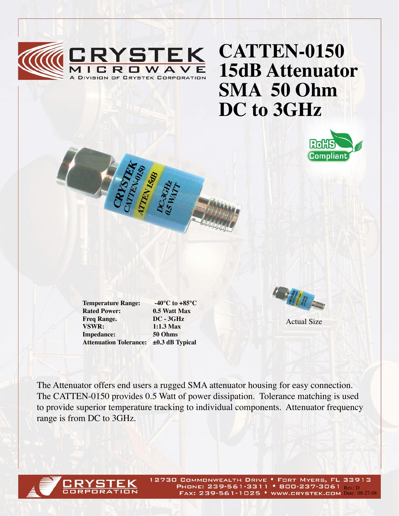

## **CATTEN-0150 15dB Attenuator SMA 50 Ohm DC to 3GHz**



**Rated Power:** 0.5 Watt Max<br> **Freq Range.** DC - 3GHz **Freq Range. VSWR: 1:1.3 Max Impedance: 50 Ohms**

**Temperature Range: -40°C to +85°C Attenuation Tolerance: ±0.3 dB Typical**



Actual Size

The Attenuator offers end users a rugged SMA attenuator housing for easy connection. The CATTEN-0150 provides 0.5 Watt of power dissipation. Tolerance matching is used to provide superior temperature tracking to individual components. Attenuator frequency range is from DC to 3GHz.



12730 COMMONWEALTH DRIVE . FORT MYERS, FL 33913 PHONE: 239-561-3311 • 800-237-3061 Rev. D FAX: 239-561-1025 • WWW.CRYSTEK.COM Date: 08-27-08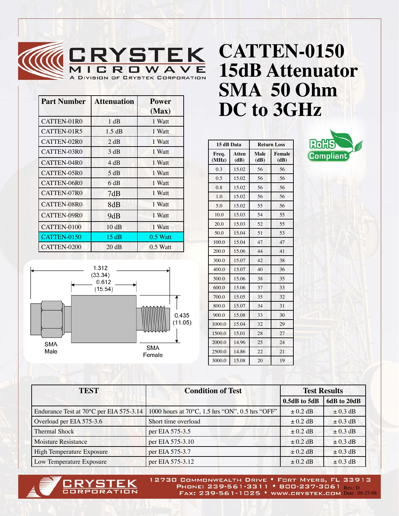

| <b>Part Number</b> | <b>Attenuation</b> | <b>Power</b><br>(Max) |
|--------------------|--------------------|-----------------------|
| CATTEN-01R0        | 1 dB               | 1 Watt                |
| CATTEN-01R5        | 1.5 dB             | 1 Watt                |
| CATTEN-02R0        | 2 dB               | 1 Watt                |
| CATTEN-03R0        | 3 dB               | 1 Watt                |
| CATTEN-04R0        | 4 dB               | 1 Watt                |
| CATTEN-05R0        | 5 dB               | 1 Watt                |
| CATTEN-06R0        | 6 dB               | 1 Watt                |
| CATTEN-07R0        | 7dB                | 1 Watt                |
| CATTEN-08R0        | 8dB                | 1 Watt                |
| CATTEN-09R0        | 9dB                | 1 Watt                |
| CATTEN-0100        | 10dB               | 1 Watt                |
| CATTEN-0150        | 15dB               | $0.5$ Watt            |
| CATTEN-0200        | 20 dB              | $0.5$ Watt            |



|                |               |                     |                | DC to 3GHz |
|----------------|---------------|---------------------|----------------|------------|
| 15 dB Data     |               | <b>Return Loss</b>  |                | <b>Ro</b>  |
| Freq.<br>(MHz) | Atten<br>(dB) | <b>Male</b><br>(dB) | Female<br>(dB) |            |
| 0.3            | 15.02         | 56                  | 56             |            |
| 0.5            | 15.02         | 56                  | 56             |            |
| 0.8            | 15.02         | 56                  | 56             |            |
| 1.0            | 15.02         | 56                  | 56             |            |
| 5.0            | 15.02         | 55                  | 56             |            |
| 10.0           | 15.03         | 54                  | 55             |            |
| 20.0           | 15.03         | 52                  | 55             |            |
| 50.0           | 15.04         | 51                  | 53             |            |

100.0 15.04 47 47 200.0 15.06 44 41 300.0 15.07 42 38 400.0 15.07 40 36 500.0 15.06 38 35 600.0 15.06 37 33 700.0 15.05 35 32 800.0 15.07 34 31 900.0 15.08 33 30 1000.0 15.04 32 29 1500.0 15.01 28 27 2000.0 14.96 25 24 2500.0 14.86 22 21 3000.0 15.08 20 19



| <b>TEST</b>                             | <b>Condition of Test</b>                        | <b>Test Results</b> |              |
|-----------------------------------------|-------------------------------------------------|---------------------|--------------|
|                                         |                                                 | $0.5dB$ to $5dB$    | 6dB to 20dB  |
| Endurance Test at 70°C per EIA 575-3.14 | 1000 hours at 70°C, 1.5 hrs "ON", 0.5 hrs "OFF" | $\pm$ 0.2 dB        | $\pm$ 0.3 dB |
| Overload per EIA 575-3.6                | Short time overload                             | $\pm$ 0.2 dB        | $\pm$ 0.3 dB |
| <b>Thermal Shock</b>                    | per EIA 575-3.5                                 | $\pm$ 0.2 dB        | $\pm$ 0.3 dB |
| <b>Moisture Resistance</b>              | per EIA 575-3.10                                | $\pm$ 0.2 dB        | $\pm$ 0.3 dB |
| High Temperature Exposure               | per EIA 575-3.7                                 | $\pm$ 0.2 dB        | $\pm$ 0.3 dB |
| Low Temperature Exposure                | per EIA 575-3.12                                | $\pm$ 0.2 dB        | $\pm$ 0.3 dB |



12730 COMMONWEALTH DRIVE . FORT MYERS, FL 33913 PHONE: 239-561-3311 • 800-237-3061 Rev.: D FAX: 239-561-1025 • WWW.CRYSTEK.COM Date: 08-27-08